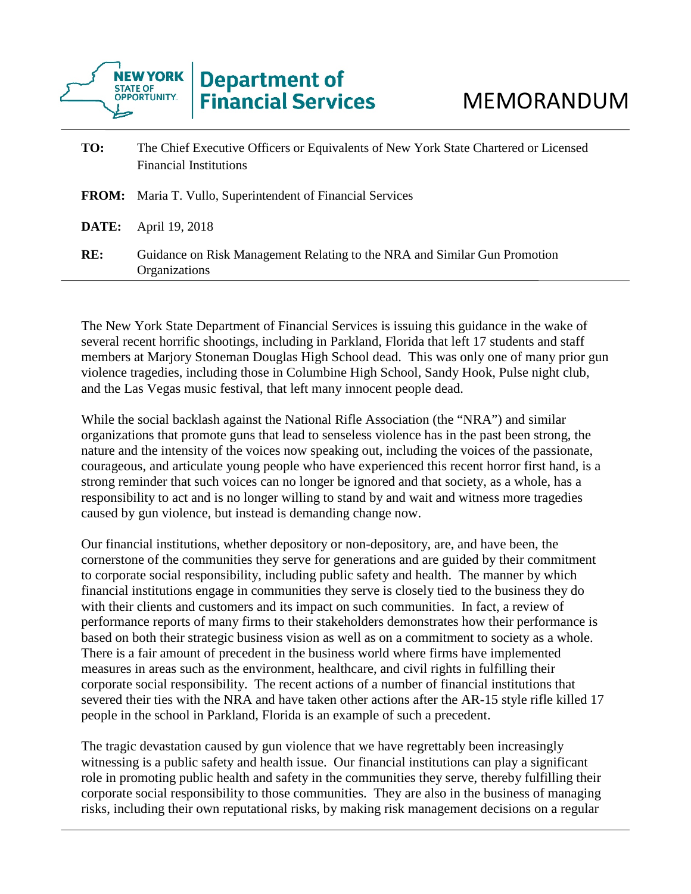

| TO:          | The Chief Executive Officers or Equivalents of New York State Chartered or Licensed<br><b>Financial Institutions</b> |
|--------------|----------------------------------------------------------------------------------------------------------------------|
|              | <b>FROM:</b> Maria T. Vullo, Superintendent of Financial Services                                                    |
| <b>DATE:</b> | April 19, 2018                                                                                                       |
| RE:          | Guidance on Risk Management Relating to the NRA and Similar Gun Promotion<br>Organizations                           |

The New York State Department of Financial Services is issuing this guidance in the wake of several recent horrific shootings, including in Parkland, Florida that left 17 students and staff members at Marjory Stoneman Douglas High School dead. This was only one of many prior gun violence tragedies, including those in Columbine High School, Sandy Hook, Pulse night club, and the Las Vegas music festival, that left many innocent people dead.

While the social backlash against the National Rifle Association (the "NRA") and similar organizations that promote guns that lead to senseless violence has in the past been strong, the nature and the intensity of the voices now speaking out, including the voices of the passionate, courageous, and articulate young people who have experienced this recent horror first hand, is a strong reminder that such voices can no longer be ignored and that society, as a whole, has a responsibility to act and is no longer willing to stand by and wait and witness more tragedies caused by gun violence, but instead is demanding change now.

Our financial institutions, whether depository or non-depository, are, and have been, the cornerstone of the communities they serve for generations and are guided by their commitment to corporate social responsibility, including public safety and health. The manner by which financial institutions engage in communities they serve is closely tied to the business they do with their clients and customers and its impact on such communities. In fact, a review of performance reports of many firms to their stakeholders demonstrates how their performance is based on both their strategic business vision as well as on a commitment to society as a whole. There is a fair amount of precedent in the business world where firms have implemented measures in areas such as the environment, healthcare, and civil rights in fulfilling their corporate social responsibility. The recent actions of a number of financial institutions that severed their ties with the NRA and have taken other actions after the AR-15 style rifle killed 17 people in the school in Parkland, Florida is an example of such a precedent.

The tragic devastation caused by gun violence that we have regrettably been increasingly witnessing is a public safety and health issue. Our financial institutions can play a significant role in promoting public health and safety in the communities they serve, thereby fulfilling their corporate social responsibility to those communities. They are also in the business of managing risks, including their own reputational risks, by making risk management decisions on a regular